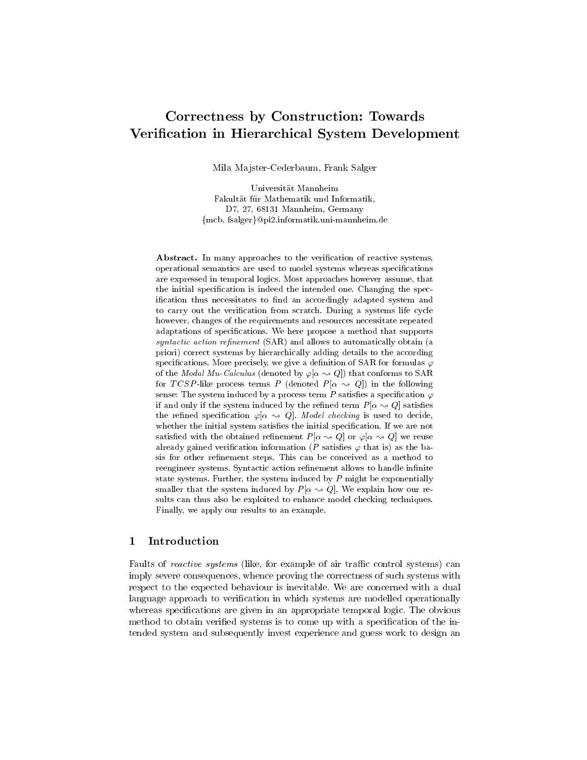# Correctness by Construction: Towards Verification in Hierarchical System Development

Mila Majster-Cederbaum, Frank Salger

Universitat Mannheim Fakultat fur Mathematik und Informatik, D7, 27, 68131 Mannheim, Germany {mcb, fsalger}@pi2.informatik.uni-mannheim.de

Abstract. In many approaches to the verification of reactive systems, operational semantics are used to model systems whereas specications are expressed in temporal logics. Most approaches however assume, that the initial specification is indeed the intended one. Changing the specification thus necessitates to find an accordingly adapted system and to carry out the verification from scratch. During a systems life cycle however, changes of the requirements and resources necessitate repeated adaptations of specifications. We here propose a method that supports syntactic action refinement  $(SAR)$  and allows to automatically obtain (a priori) correct systems by hierarchically adding details to the according specifications. More precisely, we give a definition of SAR for formulas  $\varphi$ of the *Modal Mu-Calculus* (denoted by  $\varphi[\alpha \leadsto Q]$ ) that conforms to SAR for TCSP-like process terms P (denoted  $P[\alpha \sim Q]$ ) in the following sense: The system induced by a process term  $P$  satisfies a specification  $\varphi$ if and only if the system induced by the refined term  $P[\alpha \sim Q]$  satisfies the refined specification  $\varphi[\alpha \leadsto Q]$ . Model checking is used to decide, whether the initial system satisfies the initial specification. If we are not satisfied with the obtained refinement  $P[\alpha \leadsto Q]$  or  $\varphi[\alpha \leadsto Q]$  we reuse already gained verification information (P satisfies  $\varphi$  that is) as the basis for other refinement steps. This can be conceived as a method to reengineer systems. Syntactic action refinement allows to handle infinite state systems. Further, the system induced by P might be exponentially smaller that the system induced by  $P[\alpha \sim Q]$ . We explain how our results can thus also be exploited to enhance model checking techniques. Finally, we apply our results to an example.

#### **Introduction** 1

Faults of *reactive systems* (like, for example of air traffic control systems) can imply severe consequences, whence proving the correctness of such systems with respect to the expected behaviour is inevitable. We are concerned with a dual language approach to verification in which systems are modelled operationally whereas specifications are given in an appropriate temporal logic. The obvious method to obtain verified systems is to come up with a specification of the intended system and subsequently invest experience and guess work to design an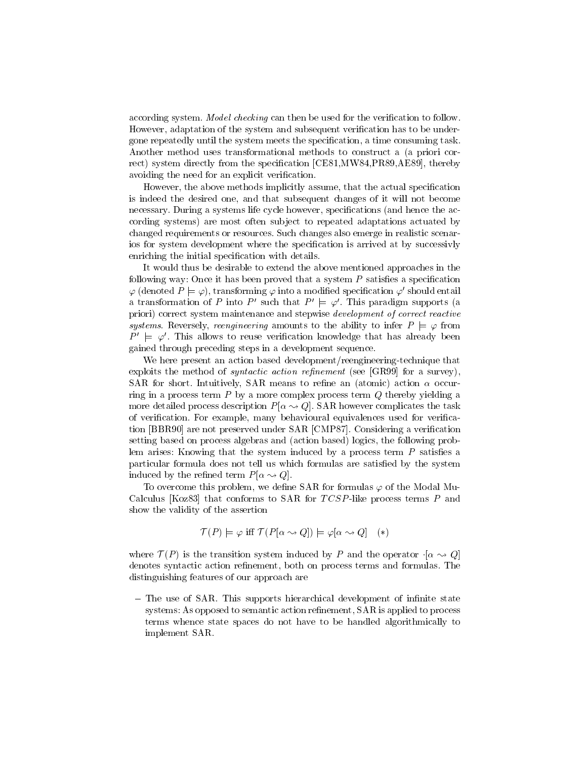according system. *Model checking* can then be used for the verification to follow. However, adaptation of the system and subsequent verication has to be undergone repeatedly until the system meets the specication, a time consuming task. Another method uses transformational methods to construct a (a priori correct) system directly from the specification [CE81,MW84,PR89,AE89], thereby avoiding the need for an explicit verification.

However, the above methods implicitly assume, that the actual specication is indeed the desired one, and that subsequent changes of it will not become necessary. During a systems life cycle however, specifications (and hence the according systems) are most often subject to repeated adaptations actuated by changed requirements or resources. Such changes also emerge in realistic scenarios for system development where the specication is arrived at by successivly enriching the initial specification with details.

It would thus be desirable to extend the above mentioned approaches in the following way: Once it has been proved that a system  $P$  satisfies a specification  $\varphi$  (denoted  $P \models \varphi$ ), transforming  $\varphi$  into a modified specification  $\varphi'$  should entail a transformation of P into P' such that  $P' \models \varphi'$ . This paradigm supports (a priori) correct system maintenance and stepwise development of correct reactive systems. Reversely, reengineering amounts to the ability to infer  $P \models \varphi$  from  $P' \models \varphi'$ . This allows to reuse verification knowledge that has already been gained through preceding steps in a development sequence.

We here present an action based development/reengineering-technique that exploits the method of *syntactic action refinement* (see  $GR99$ ) for a survey), SAR for short. Intuitively, SAR means to refine an (atomic) action  $\alpha$  occurring in a process term  $P$  by a more complex process term  $Q$  thereby yielding a more detailed process description  $P[\alpha \rightarrow Q]$ . SAR however complicates the task of verification. For example, many behavioural equivalences used for verification [BBR90] are not preserved under SAR [CMP87]. Considering a verication setting based on process algebras and (action based) logics, the following problem arises: Knowing that the system induced by a process term  $P$  satisfies a particular formula does not tell us which formulas are satisfied by the system induced by the refined term  $P[\alpha \leadsto Q]$ .

To overcome this problem, we define  $SAR$  for formulas  $\varphi$  of the Modal Mu-Calculus [Koz83] that conforms to SAR for  $TCSP$ -like process terms P and show the validity of the assertion

$$
\mathcal{T}(P) \models \varphi \text{ iff } \mathcal{T}(P[\alpha \leadsto Q]) \models \varphi[\alpha \leadsto Q] \quad (*)
$$

where  $\alpha$  (P ) is the transition system induced by P and the operator  $\alpha$   $\beta$ denotes syntactic action refinement, both on process terms and formulas. The distinguishing features of our approach are

- The use of SAR. This supports hierarchical development of infinite state systems: As opposed to semantic action refinement, SAR is applied to process terms whence state spaces do not have to be handled algorithmically to implement SAR.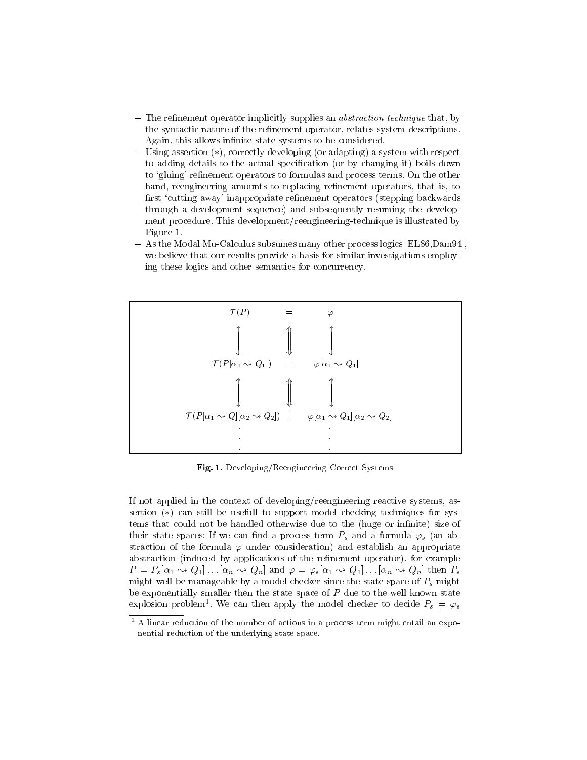- $-$  The refinement operator implicitly supplies an *abstraction technique* that, by the syntactic nature of the refinement operator, relates system descriptions. Again, this allows infinite state systems to be considered.
- ${\rm -}$  Using assertion  $(*)$ , correctly developing (or adapting) a system with respect to adding details to the actual specification (or by changing it) boils down to 'gluing' refinement operators to formulas and process terms. On the other hand, reengineering amounts to replacing refinement operators, that is, to first 'cutting away' inappropriate refinement operators (stepping backwards through a development sequence) and subsequently resuming the development procedure. This development/reengineering-technique is illustrated by Figure 1.
- As the Modal Mu-Calculus subsumes many other process logics [EL86,Dam94]. we believe that our results provide a basis for similar investigations employing these logics and other semantics for concurrency.



Fig. 1. Developing/Reengineering Correct Systems

If not applied in the context of developing/reengineering reactive systems, assertion  $(*)$  can still be usefull to support model checking techniques for systems that could not be handled otherwise due to the (huge or infinite) size of their state spaces: If we can find a process term  $P_s$  and a formula  $\varphi_s$  (an abstraction of the formula  $\varphi$  under consideration) and establish an appropriate abstraction (induced by applications of the refinement operator), for example  $P = P_s[\alpha_1 \leadsto Q_1] \dots [\alpha_n \leadsto Q_n]$  and  $\varphi = \varphi_s[\alpha_1 \leadsto Q_1] \dots [\alpha_n \leadsto Q_n]$  then  $P_s$ might well be manageable by a model checker since the state space of  $P_s$  might be exponentially smaller then the state space of  $P$  due to the well known state explosion problem\*. We can then apply the model checker to decide  $P_s \models \varphi_s$ 

<sup>1</sup> A linear reduction of the number of actions in a process term might entail an expo nential reduction of the underlying state space.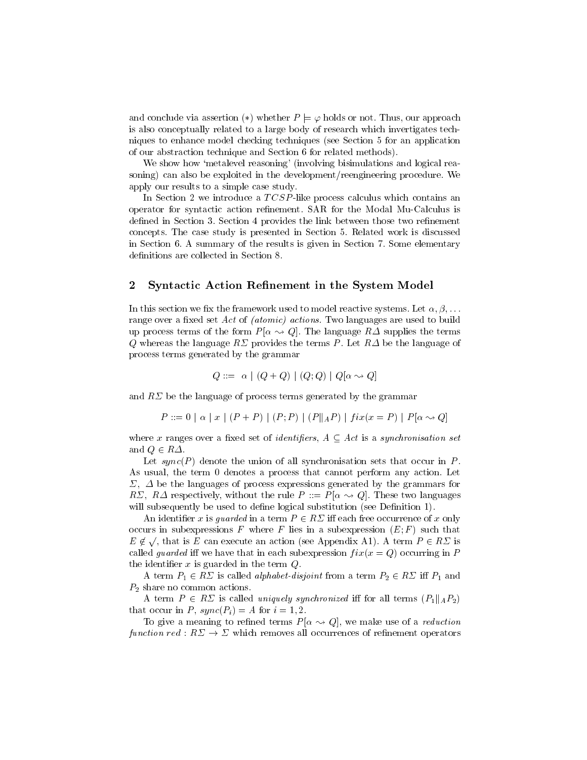and conclude via assertion (\*) whether  $P \models \varphi$  holds or not. Thus, our approach is also conceptually related to a large body of research which invertigates techniques to enhance model checking techniques (see Section 5 for an application of our abstraction technique and Section 6 for related methods).

We show how 'metalevel reasoning' (involving bisimulations and logical reasoning) can also be exploited in the development/reengineering procedure. We apply our results to a simple case study.

In Section 2 we introduce a TCSP-like process calculus which contains an operator for syntactic action renement. SAR for the Modal Mu-Calculus is defined in Section 3. Section 4 provides the link between those two refinement concepts. The case study is presented in Section 5. Related work is discussed in Section 6. A summary of the results is given in Section 7. Some elementary definitions are collected in Section 8.

# 2 Syntactic Action Refinement in the System Model

In this section we fix the framework used to model reactive systems. Let  $\alpha, \beta, \ldots$ range over a fixed set Act of *(atomic)* actions. Two languages are used to build up process terms of the form  $P[\alpha \sim Q]$ . The language  $R\Delta$  supplies the terms Q whereas the language  $R\Sigma$  provides the terms P. Let  $R\Delta$  be the language of process terms generated by the grammar

$$
Q::=\ \alpha \mid (Q+Q) \mid (Q;Q) \mid Q[\alpha \leadsto Q]
$$

and  $R\Sigma$  be the language of process terms generated by the grammar

$$
P ::= 0 | \alpha | x | (P + P) | (P; P) | (P||_A P) | fix(x = P) | P[\alpha \sim Q]
$$

where  $\alpha$  ranges over a measure to be identifying to  $\pm$  that is a synchronisation set of and  $\mathbf{v}$  are and  $\mathbf{v}$ 

Let  $sync(P)$  denote the union of all synchronisation sets that occur in P. As usual, the term 0 denotes a process that cannot perform any action. Let  $\Sigma$ ,  $\Delta$  be the languages of process expressions generated by the grammars for RZ, R $\Delta$  respectively, without the rule  $P ::= P[\alpha \rightarrow Q]$ . These two languages will subsequently be used to define logical substitution (see Definition 1).

and in the interest  $\alpha$  and  $\beta$  and the extension of  $\alpha$  and  $\alpha$  are the each free occurrence of  $\alpha$  only only occurs in subexpressions F where F lies in a subexpression  $(E; F)$  such that  $E \notin \sqrt{$ , that is E can execute an action (see Appendix A1). A term  $P \in R\Sigma$  is called *guarded* iff we have that in each subexpression  $fix(x = Q)$  occurring in P the identifier  $x$  is guarded in the term  $Q$ .

A term P1 2 R is called alphabet-disjoint from a term  $\sim$  2 R i P1 and  $\sim$  1 and 2  $P_2$  share no common actions.

A term P 2 R is called uniquely synchronized in for all terms  $\langle$  f $\rangle$ that occur in P,  $sync(P_i) = A$  for  $i = 1, 2$ .

To give a meaning to refined terms  $P[\alpha \rightarrow Q]$ , we make use of a *reduction* function red : R ! which removes all occurrences of renement operators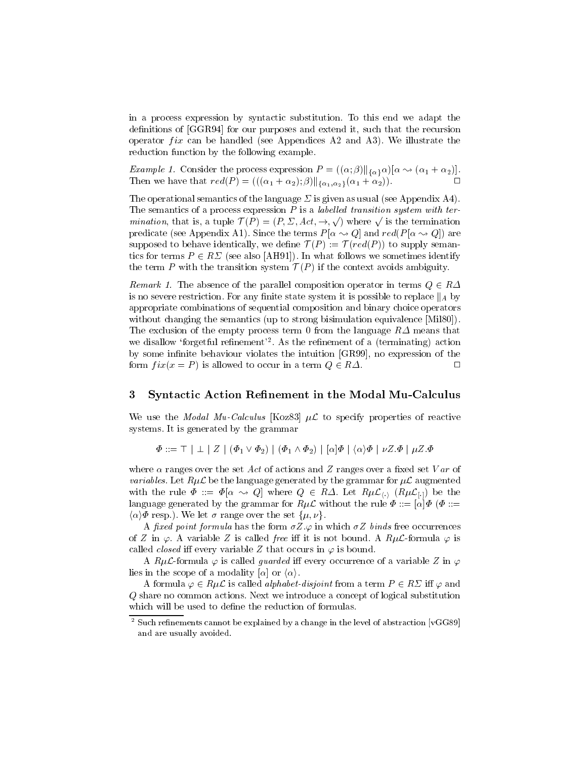in a process expression by syntactic substitution. To this end we adapt the definitions of [GGR94] for our purposes and extend it, such that the recursion operator  $fix$  can be handled (see Appendices A2 and A3). We illustrate the reduction function by the following example.

Example 1. Consider the process expression  $I = ((\alpha, \beta) || \alpha \rangle^{\alpha}$  ( $\alpha_1 + \alpha_2$ ).  $T$  , then we have the function  $(1 - \sqrt{2})$  ,  $\sqrt{(\sqrt{2} + 1)^2 + 2^2}$  ,  $\sqrt{2}$  ;  $\sqrt{2}$  ;  $\sqrt{2}$  ,  $\sqrt{2}$  ,  $\sqrt{2}$  ,  $\sqrt{2}$  ,  $\sqrt{2}$  ,  $\sqrt{2}$  ,  $\sqrt{2}$  ,  $\sqrt{2}$  ,  $\sqrt{2}$  ,  $\sqrt{2}$  ,  $\sqrt{2}$  ,  $\sqrt{2}$  ,  $\sqrt{2}$  ,  $\$ 

The operational semantics of the language  $\Sigma$  is given as usual (see Appendix A4). The semantics of a process expression  $P$  is a labelled transition system with termination, that is, a tuple  $\mathcal{T}(P) = (P, \Sigma, Act, \rightarrow, \sqrt{\ } )$  where  $\sqrt{\ }$  is the termination predicate (see Appendix A1). Since the terms  $P[\alpha \rightarrow Q]$  and  $red(P[\alpha \rightarrow Q])$  are suppose to be defined to be identically, we define  $\rightarrow$  (P ) :=  $\rightarrow$  (P  $\rightarrow$  ) to supply semanttics for terms P  $Z$  ,  $Z$  and  $Z$  also  $Z$  also  $Z$   $Z$  and we sometimes identify  $Z$  and  $Z$ the term P with the transition system  $\mathcal{F}$  (P ) if the context avoids ambiguity.

 $R_{\text{E}}$  and  $\kappa$  1. The absence of the parallel composition operator in terms  $Q \in R \Delta$ is no severe restriction. For any interesting it is possible to replace to replace ka by  $\Gamma$ appropriate combinations of sequential composition and binary choice operators without changing the semantics (up to strong bisimulation equivalence [Mil80]). The exclusion of the empty process term 0 from the language  $R\Delta$  means that we disallow 'forgetful refinement'<sup>2</sup>. As the refinement of a (terminating) action by some infinite behaviour violates the intuition [GR99], no expression of the form  $fix(x = P)$  is allowed to occur in a term  $Q \in R\Delta$ . 2R. <sup>2</sup>

# 3 Syntactic Action Refinement in the Modal Mu-Calculus

We use the *Modal Mu-Calculus* [Koz83]  $\mu\mathcal{L}$  to specify properties of reactive systems. It is generated by the grammar

 $\Phi ::= \top | \perp | Z | (\Phi_1 \vee \Phi_2) | (\Phi_1 \wedge \Phi_2) | [\alpha] \Phi | \langle \alpha \rangle \Phi | \nu Z. \Phi | \mu Z. \Phi$ 

where  $\alpha$  ranges over the set Act of actions and Z ranges over a fixed set Var of *variables.* Let  $R\mu\mathcal{L}$  be the language generated by the grammar for  $\mu\mathcal{L}$  augmented with the rule  $\mathbf{v}$  is a result of  $\mathbf{v}$  and  $\mathbf{v}$  are the  $\mathbf{v}$  discrete  $\mathbf{v}$  be the theorem of  $\mathbf{v}$ language generated by the grammar for  $R\mu\mathcal{L}$  without the rule  $\Phi ::= [\alpha]\Phi$  ( $\Phi ::=$  $\langle \alpha \rangle \Phi$  resp.). We let  $\sigma$  range over the set  $\{\mu, \nu\}.$ 

A fixed point formula has the form  $\sigma Z.\varphi$  in which  $\sigma Z$  binds free occurrences of Z in  $\varphi$ . A variable Z is called free iff it is not bound. A  $R\mu\mathcal{L}$ -formula  $\varphi$  is called *closed* iff every variable Z that occurs in  $\varphi$  is bound.

A RuL-formula  $\varphi$  is called *guarded* iff every occurrence of a variable Z in  $\varphi$ lies in the scope of a modality  $[\alpha]$  or  $\langle \alpha \rangle$ .

A formula  $\varphi \in R\mu L$  is called *alphabet-disjoint* from a term  $P \in R \varSigma$  iff  $\varphi$  and Q share no common actions. Next we introduce a concept of logical substitution which will be used to define the reduction of formulas.

<sup>2</sup> Such renements cannot be explained byachange in the level of abstraction [vGG89] and are usually avoided.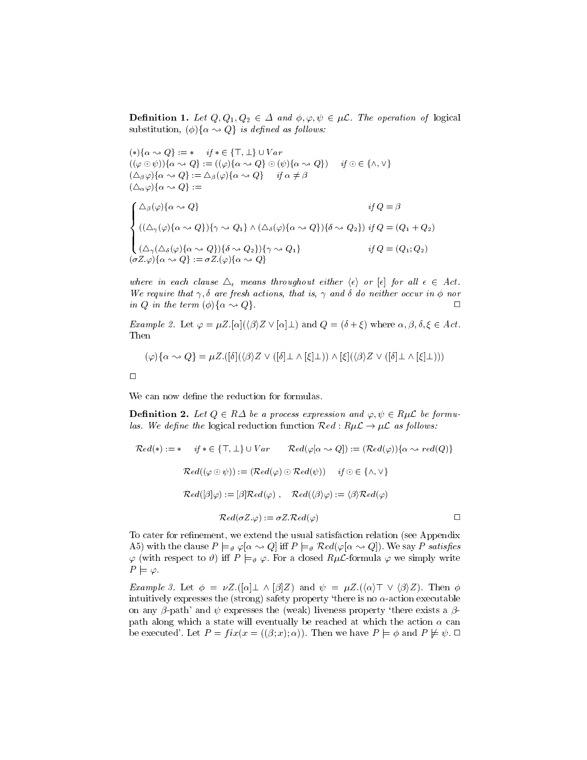**Definition 1.** Let  $Q, Q_1, Q_2 \in \Delta$  and  $\varphi, \varphi, \psi \in \mu L$ . The operation of logical substitution,  $(\phi) \{ \alpha \leadsto Q \}$  is defined as follows.

$$
(*){\alpha \rightsquigarrow Q} := * \quad if * \in \{\top, \bot\} \cup Var
$$
  
\n
$$
((\varphi \odot \psi)){\alpha \rightsquigarrow Q} := ((\varphi){\alpha \rightsquigarrow Q} \odot (\psi){\alpha \rightsquigarrow Q}) \quad if \odot \in \{\land, \lor\}
$$
  
\n
$$
(\triangle_{\beta}\varphi){\alpha \rightsquigarrow Q} := \triangle_{\beta}(\varphi){\alpha \rightsquigarrow Q} \quad if \alpha \neq \beta
$$
  
\n
$$
(\triangle_{\alpha}\varphi){\alpha \rightsquigarrow Q} := \qquad \qquad \qquad if \alpha \neq \beta
$$
  
\n
$$
\{\triangle_{\beta}(\varphi){\alpha \rightsquigarrow Q}\} := \qquad \qquad \qquad if \alpha \neq \beta
$$
  
\n
$$
\{(\triangle_{\gamma}(\varphi){\alpha \rightsquigarrow Q}){\gamma \rightsquigarrow Q_1}\ \wedge (\triangle_{\delta}(\varphi){\alpha \rightsquigarrow Q}){\delta \rightsquigarrow Q_2}\} \quad if \ Q = (\mathcal{Q}_1 + \mathcal{Q}_2)
$$
  
\n
$$
(\triangle_{\gamma}(\triangle_{\delta}(\varphi){\alpha \rightsquigarrow Q}){\delta \rightsquigarrow Q_2}\} \qquad \qquad if \ Q = (Q_1; Q_2)
$$
  
\n
$$
(\sigma Z.\varphi){\alpha \rightsquigarrow Q} := \sigma Z.(\varphi){\alpha \rightsquigarrow Q}
$$

where in each clause  $\Delta_{\epsilon}$  means throughout either  $\langle \epsilon \rangle$  or  $|\epsilon|$  for all  $\epsilon \in A$ ct. We require that  $\gamma$ ,  $\sigma$  are fresh actions, that is,  $\gamma$  and  $\sigma$  ao heither occur in  $\varphi$  nor in Q in the term  $(\varphi)$   $\{ \alpha \leadsto Q\}$ .

*Example 2.* Let  $\varphi = \mu Z$ .  $\alpha$   $(\langle \beta \rangle Z \lor \alpha] \bot$  and  $Q = (\delta + \xi)$  where  $\alpha, \beta, \delta, \xi \in Act$ . Then

$$
(\varphi)\{\alpha \leadsto Q\} = \mu Z.([\delta](\langle \beta \rangle Z \vee ([\delta] \bot \wedge [\xi] \bot)) \wedge [\xi](\langle \beta \rangle Z \vee ([\delta] \bot \wedge [\xi] \bot)))
$$

 $\Box$ 

We can now define the reduction for formulas.

**Dennition 2.** Let  $Q \in R\Delta$  be a process expression and  $\varphi, \psi \in R\mu\mathcal{L}$  be formuas. We actine the logical reduction function  $\kappa \epsilon a$  :  $n \mu \omega \rightarrow \mu \omega$  as follows:<br> $\mathcal{R}ol(\epsilon) = \frac{d}{d\epsilon} \epsilon \mathcal{L} \left( \frac{\pi}{2} + \frac{1}{2} \right) + V \epsilon \mathcal{R}$ .  $\mathcal{R}ol(\epsilon[\epsilon, \epsilon, \epsilon] \left( \frac{\pi}{2} + \frac{1}{2} \right)$ 

$$
\mathcal{R}ed(*) := * \quad \text{if } * \in \{\top, \bot\} \cup Var \qquad \mathcal{R}ed(\varphi[\alpha \leadsto Q]) := (\mathcal{R}ed(\varphi))\{\alpha \leadsto red(Q)\}
$$
\n
$$
\mathcal{R}ed((\varphi \odot \psi)) := (\mathcal{R}ed(\varphi) \odot \mathcal{R}ed(\psi)) \quad \text{if } \odot \in \{\land, \lor\}
$$
\n
$$
\mathcal{R}ed([\beta]\varphi) := [\beta] \mathcal{R}ed(\varphi) \ , \quad \mathcal{R}ed(\langle \beta \rangle \varphi) := \langle \beta \rangle \mathcal{R}ed(\varphi)
$$
\n
$$
\mathcal{R}ed(\sigma Z.\varphi) := \sigma Z. \mathcal{R}ed(\varphi) \qquad \Box
$$

To cater for refinement, we extend the usual satisfaction relation (see Appendix A5) with the clause  $P \models_{\theta} \varphi[\alpha \leadsto Q]$  iff  $P \models_{\theta} \mathcal{R}ed(\varphi[\alpha \leadsto Q])$ . We say P satisfies  $\varphi$  (with respect to  $\vartheta$ ) iff  $P \models_{\vartheta} \varphi$ . For a closed  $R\mu\mathcal{L}$ -formula  $\varphi$  we simply write  $P \models \varphi$ .

*Example 3.* Let  $\phi = \nu Z \cdot ([\alpha] \perp \wedge [\beta] Z)$  and  $\psi = \mu Z \cdot (\langle \alpha \rangle \top \vee \langle \beta \rangle Z)$ . Then  $\phi$ intuitively expresses the (strong) safety property 'there is no  $\alpha$ -action executable<br>on any  $\beta$  actb' and  $\psi$  expresses the (weak) liveness property 'there exists a  $\beta$ on any  $\beta$ -path' and  $\psi$  expresses the (weak) liveness property 'there exists a  $\beta$ path along which a state will eventually be reached at which the action  $\alpha$  can be executed'. Let  $P = fix(x = ((\beta; x); \alpha))$ . Then we have  $P \models \phi$  and  $P \not\models \psi$ .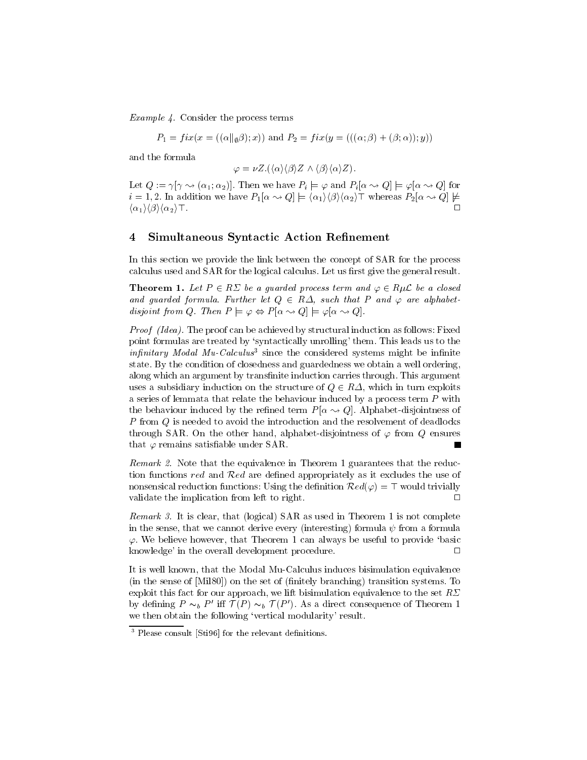Example 4. Consider the process terms

$$
P_1 = fix(x = ((\alpha || \phi \beta); x))
$$
 and  $P_2 = fix(y = (((\alpha; \beta) + (\beta; \alpha)); y))$ 

and the formula

$$
\varphi = \nu Z.(\langle \alpha \rangle \langle \beta \rangle Z \wedge \langle \beta \rangle \langle \alpha \rangle Z).
$$

 $\varphi = \nu \mathcal{Z}.(\langle \alpha \rangle \langle \beta \rangle \mathcal{Z} \wedge \langle \beta \rangle \langle \alpha \rangle \mathcal{Z}).$ <br>Let  $Q := \gamma[\gamma \leadsto (\alpha_1; \alpha_2)]$ . Then we have  $P_i \models \varphi$  and  $P_i[\alpha \leadsto Q] \models \varphi[\alpha \leadsto Q]$  for i is the commutation with  $\alpha=1$  in an additional intervals  $\alpha=1$  is an additional  $\alpha=1$  $\langle \alpha_1 \rangle \langle \beta \rangle \langle \alpha_2 \rangle$  T.

# 4 Simultaneous Syntactic Action Refinement

In this section we provide the link between the concept of SAR for the process calculus used and SAR for the logical calculus. Let us first give the general result.

**Theorem 1.** Let  $P \in R_2$  be a guarded process term and  $\varphi \in R_2$  be a closed and guarded formula. Further let  $Q \in R\Delta$ , such that P and  $\varphi$  are alphabetaisjoint from Q. Then  $P \models \varphi \Leftrightarrow P[\alpha \leadsto Q] \models \varphi[\alpha \leadsto Q].$ 

Proof (Idea). The proof can be achieved by structural induction as follows: Fixed point formulas are treated by `syntactically unrolling' them. This leads us to the  $injunitary$  modal  $mu$ -Calculus since the considered systems might be infinite state. By the condition of closedness and guardedness we obtain a well ordering, along which an argument by transfinite induction carries through. This argument uses a subsidiary induction on the structure of  $\psi$  2R, which in turn exploits in the structure a series of lemmata that relate the behaviour induced by a process term  $P$  with the behaviour induced by the refined term  $P[\alpha \rightarrow Q]$ . Alphabet-disjointness of P from Q is needed to avoid the introduction and the resolvement of deadlocks through SAR. On the other hand, alphabet-disjointness of  $\varphi$  from  $Q$  ensures that  $\varphi$  remains satisfiable under SAR. П

Remark 2. Note that the equivalence in Theorem 1 guarantees that the reduction functions red and Red are defined as it excludes the use of  $\mathbf{F}(\mathbf{r})$  as it excludes the use of use of use of  $\mathbf{F}(\mathbf{r})$ nonsensical reduction functions: Using the definition  $\mathcal{K}ea(\varphi) = +$  would trivially validate the implication from left to right.  $\Box$ 

 $R$ emark 3. It is clear, that (logical) SAR as used in Theorem 1 is not complete in the sense, that we cannot derive every (interesting) formula  $\psi$  from a formula  $\varphi$ . We believe however, that Theorem 1 can always be useful to provide 'basic knowledge' in the overall development procedure.  $\Box$ 

It is well known, that the Modal Mu-Calculus induces bisimulation equivalence (in the sense of [Mil80]) on the set of (finitely branching) transition systems. To exploit this fact for our approach, we lift bisimulation equivalence to the set  $R\Sigma$ by defining  $P \sim_b P$  on  $T$  (P  $\sim_b T$  ). As a direct consequence of Theorem 1 we then obtain the following 'vertical modularity' result.

<sup>3</sup> Please consult [Sti96] for the relevant denitions.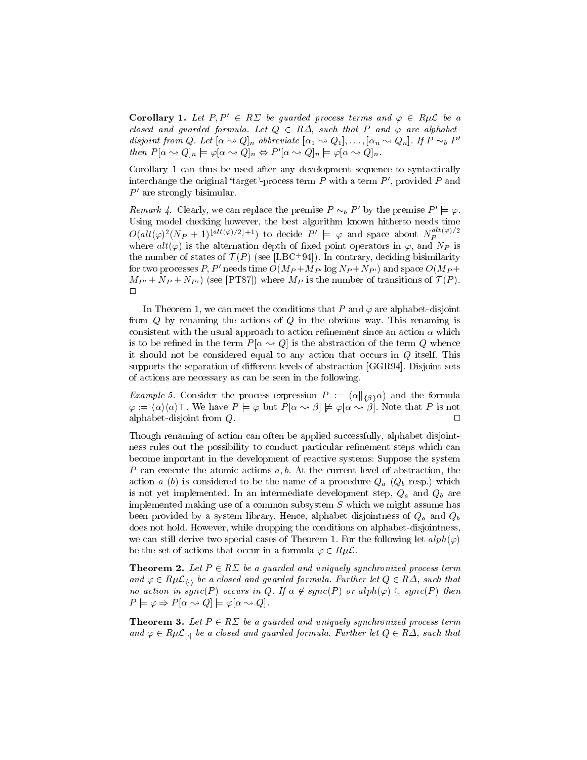**Corollary 1.** Let  $P, P' \in R \Sigma$  be guarded process terms and  $\varphi \in R \mu \mathcal{L}$  be a closed and guarded formula. Let  $Q ~\in~ R \Delta,$  such that  $P$  and  $\varphi$  are alphabetatsjoint from Q. Let  $[\alpha \leadsto Q]_n$  abbreviate  $[\alpha_1 \leadsto Q_1],\ldots,[\alpha_n \leadsto Q_n]$ . If  $P \thicksim_b P$ then  $P[\alpha \leadsto Q]_n \models \varphi[\alpha \leadsto Q]_n \Leftrightarrow P'[\alpha \leadsto Q]_n \models \varphi[\alpha \leadsto Q]_n.$ 

Corollary 1 can thus be used after any development sequence to syntactically interchange the original 'target'-process term  $P$  with a term  $P'$ , provided  $P$  and  $P'$  are strongly bisimular.

Remark 4. Clearly, we can replace the premise  $P \sim_b P'$  by the premise  $P' \models \varphi$ . Using model checking however, the best algorithm known hitherto needs time  $O(alt(\varphi)^2(N_P+1)^{\lfloor alt(\varphi)/2\rfloor+1})$  to decide  $P' \models \varphi$  and space about  $N_P^{att(\varphi)/2}$ where  $alt(\varphi)$  is the alternation depth of fixed point operators in  $\varphi$ , and  $N_P$  is the number of states of  $T(T)$  (see [LBC+94]). In contrary, deciding bisimilarity for two processes P, P' needs time  $O(M_P + M_{P'} \log N_P + N_{P'})$  and space  $O(M_P +$  $M_{\rm F}$  =  $($  +  $\sim$   $T$   $)$  (see [PT87]) where  $M_{\rm F}$  is the number of transitions of  $($   $($   $)$ .  $\Box$ 

In Theorem 1, we can meet the conditions that P and  $\varphi$  are alphabet-disjoint from  $Q$  by renaming the actions of  $Q$  in the obvious way. This renaming is consistent with the usual approach to action refinement since an action  $\alpha$  which is to be refined in the term  $P[\alpha \rightarrow Q]$  is the abstraction of the term Q whence it should not be considered equal to any action that occurs in Q itself. This supports the separation of different levels of abstraction [GGR94]. Disjoint sets of actions are necessary as can be seen in the following.

 $Example 5.$  Consider the process expression  $P = (\alpha||\beta|\alpha)$  and the formula  $\varphi := \langle \alpha \rangle \langle \alpha \rangle$ . We have  $P \models \varphi$  but  $P[\alpha \leadsto \beta] \not\models \varphi[\alpha \leadsto \beta]$ . Note that P is not alphabet-disjoint from  $Q$ .  $\Box$ 

Though renaming of action can often be applied successfully, alphabet disjointness rules out the possibility to conduct particular refinement steps which can become important in the development of reactive systems: Suppose the system P can execute the atomic actions  $a, b$ . At the current level of abstraction, the action a (b) is considered to be the name of a procedure  $Q_a$  ( $Q_b$  resp.) which is not yet implemented. In an intermediate development step,  $Q_a$  and  $Q_b$  are implemented making use of a common subsystem  $S$  which we might assume has been provided by a system library. Hence, alphabet disjointness of  $Q_a$  and  $Q_b$ does not hold. However, while dropping the conditions on alphabet-disjointness, we can still derive two special cases of Theorem 1. For the following let  $\alpha lph(\varphi)$ be the set of actions that occur in a formula  $\varphi \in R\mu L$ .

**Theorem 2.** Let  $P \in R \times \mathcal{P}$  be a guarded and uniquely synchronized process term and  $\varphi \in R\mu L_{\langle\cdot\rangle}$  be a closed and guarded formula. Further let  $Q\in R\Delta,$  such that no action in sync $(P)$  occurs in Q. If  $\alpha \not\in sync(P)$  or alph $(\varphi) \subseteq sync(P)$  then  $P \models \varphi \Rightarrow P[\alpha \leadsto Q] \models \varphi[\alpha \leadsto Q].$ 

**Theorem 3.** Let  $P \in R \mathbb{Z}$  be a guarded and uniquely synchronized process term and  $\varphi \in R\mu L_{[.]}$  be a closed and guarded formula. Further let  $Q\in R\varDelta,$  such that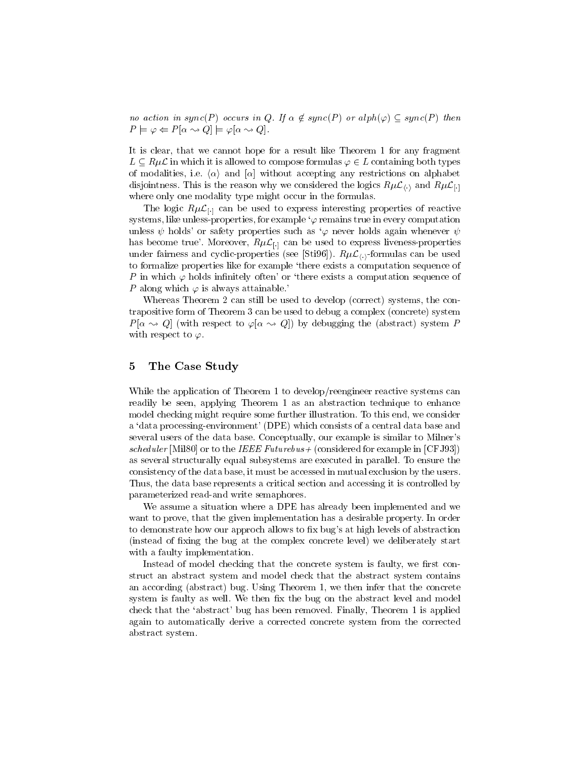no action in sync $(P)$  occurs in Q. If  $\alpha \not\in sync(P)$  or alph $(\varphi) \subseteq sync(P)$  then  $P \models \varphi \Leftarrow P[\alpha \leadsto Q] \models \varphi[\alpha \leadsto Q].$ 

It is clear, that we cannot hope for a result like Theorem 1 for any fragment  $L \subseteq R\mu L$  in which it is allowed to compose formulas  $\varphi \in L$  containing both types of modalities, i.e.  $\langle \alpha \rangle$  and  $\alpha$  without accepting any restrictions on alphabet disjointness. This is the reason why we considered the logics  $R\mu\mathcal{L}_{\langle\cdot\rangle}$  and  $R\mu\mathcal{L}_{\langle\cdot\rangle}$ where only one modality type might occur in the formulas.

The logic  $R\mu\mathcal{L}_{\Box}$  can be used to express interesting properties of reactive systems, like unless-properties, for example  $\varphi$  remains true in every computation unless  $\psi$  holds' or safety properties such as ' $\varphi$  never holds again whenever  $\psi$ has become true'. Moreover,  $R\mu\mathcal{L}_{\lbrack-]}$  can be used to express liveness-properties under fairness and cyclic-properties (see [Sti96]).  $R\mu\mathcal{L}_{\langle}\rangle$ -formulas can be used to formalize properties like for example `there exists a computation sequence of P in which  $\varphi$  holds infinitely often' or 'there exists a computation sequence of P along which  $\varphi$  is always attainable.

Whereas Theorem 2 can still be used to develop (correct) systems, the contrapositive form of Theorem 3 can be used to debug a complex (concrete) system  $P[\alpha \sim Q]$  (with respect to  $\varphi[\alpha \sim Q]$ ) by debugging the (abstract) system P with respect to  $\varphi$ .

#### 5 5 The Case Study

While the application of Theorem 1 to develop/reengineer reactive systems can readily be seen, applying Theorem 1 as an abstraction technique to enhance model checking might require some further illustration. To this end, we consider a `data processing-environment' (DPE) which consists of a central data base and several users of the data base. Conceptually, our example is similar to Milner's scheduler  $\lceil \text{min}(\sigma) \rceil$  of to the IEEE Futurebus+ (considered for example in [CFJ33]) as several structurally equal subsystems are executed in parallel. To ensure the consistency of the data base, it must be accessed in mutual exclusion by the users. Thus, the data base represents a critical section and accessing it is controlled by parameterized read-and write semaphores.

We assume a situation where a DPE has already been implemented and we want to prove, that the given implementation has a desirable property. In order to demonstrate how our approch allows to fix bug's at high levels of abstraction (instead of fixing the bug at the complex concrete level) we deliberately start with a faulty implementation.

Instead of model checking that the concrete system is faulty, we first construct an abstract system andmodel check that the abstract system contains an according (abstract) bug. Using Theorem 1, we then infer that the concrete system is faulty as well. We then fix the bug on the abstract level and model check that the `abstract' bug has been removed. Finally, Theorem 1 is applied again to automatically derive a corrected concrete system from the corrected abstract system.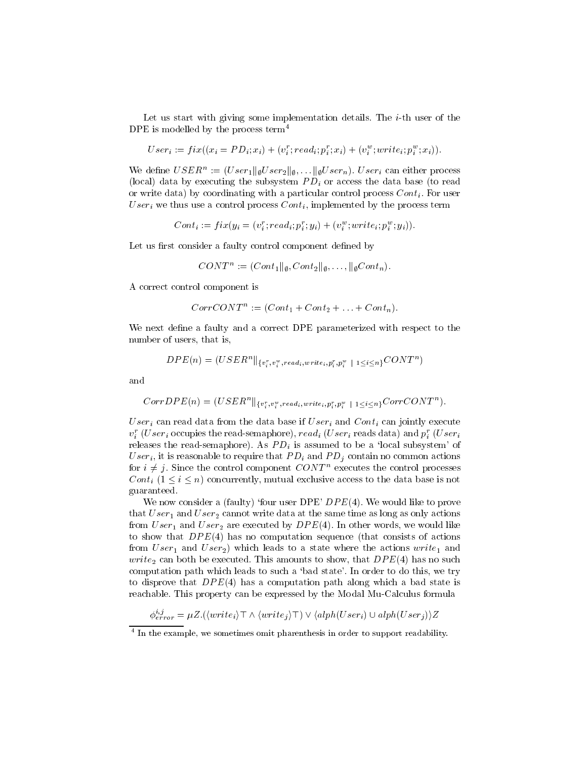Let us start with giving some implementation details. The  $i$ -th user of the DPE is modelled by the process term<sup>4</sup>

$$
User_i := fix((x_i = PD_i; x_i) + (v_i^r; read_i; p_i^r; x_i) + (v_i^w; write_i; p_i^w; x_i)).
$$

We define  $\cup$   $\sum R_i := (U \, \text{ser}_1 || \, \text{for} \, \text{ser}_2 || \, \text{for} \, \text{inter} \, \text{for} \, \text{inter} \, \text{process})$ (local) data by executing the subsystem  $PD_i$  or access the data base (to read or write data) by coordinating with a particular control process  $Cont_i$ . For user User<sub>i</sub> we thus use a control process  $Cont_i$ , implemented by the process term

$$
Cont_i := fix(y_i = (v_i^r; read_i; p_i^r; y_i) + (v_i^w; write_i; p_i^w; y_i)).
$$

Let us first consider a faulty control component defined by

$$
CONT^n := (Cont_1 \|_{\emptyset}, Cont_2 \|_{\emptyset}, \ldots, \|_{\emptyset} Cont_n).
$$

A correct control component is

$$
CorrCONTn := (Cont1 + Cont2 + ... + Contn)
$$

We next define a faulty and a correct DPE parameterized with respect to the number of users, that is,

$$
DPE(n) = (USER^n\Vert_{\{v_i^r,v_i^w, read_i, write_i, p_i^r,p_i^w \text{ } \mid \text{ } 1 \leq i \leq n\}} CONT^n)
$$

and

$$
CorrDPE(n) = (USER^n||_{\{v_i^r, v_i^w, read_i, write_i, p_i^r, p_i^w \mid 1 \leq i \leq n\}} CorrCONT^n).
$$

User<sub>i</sub> can read data from the data base if  $User_i$  and  $Cont_i$  can jointly execute  $v_i$  (U se $r_i$  occupies the read-semaphore),  $reau_i$  (U se $r_i$  reads data) and  $p_i$  (U se $r_i$ releases the read-semaphore). As  $PD_i$  is assumed to be a 'local subsystem' of User<sub>i</sub>, it is reasonable to require that  $PD_i$  and  $PD_j$  contain no common actions for  $i \neq j$ . Since the control component CONT axecutes the control processes  $C\circ\cdots$  (1  $\equiv$   $\equiv$   $\equiv$   $\cdots$  ) constants the data base is not the data base is not the data base is not the data base is not guaranteed.

We now consider a (faulty) 'four user DPE'  $DPE(4)$ . We would like to prove that  $User_1$  and  $User_2$  cannot write data at the same time as long as only actions from  $User_1$  and  $User_2$  are executed by  $DPE(4)$ . In other words, we would like to show that  $DPE(4)$  has no computation sequence (that consists of actions from  $User_1$  and  $User_2$ ) which leads to a state where the actions  $write_1$  and write<sub>2</sub> can both be executed. This amounts to show, that  $DPE(4)$  has no such computation path which leads to such a `bad state'. In order to do this, we try to disprove that  $DPE(4)$  has a computation path along which a bad state is reachable. This property can be expressed by the Modal Mu-Calculus formula

$$
\phi_{error}^{i,j} = \mu Z.(\langle write_i \rangle \top \land \langle write_j \rangle \top) \lor \langle alph(User_i) \cup alph(User_j) \rangle Z
$$

 $\frac{1}{4}$  In the example, we sometimes omit pharenthesis in order to support readability.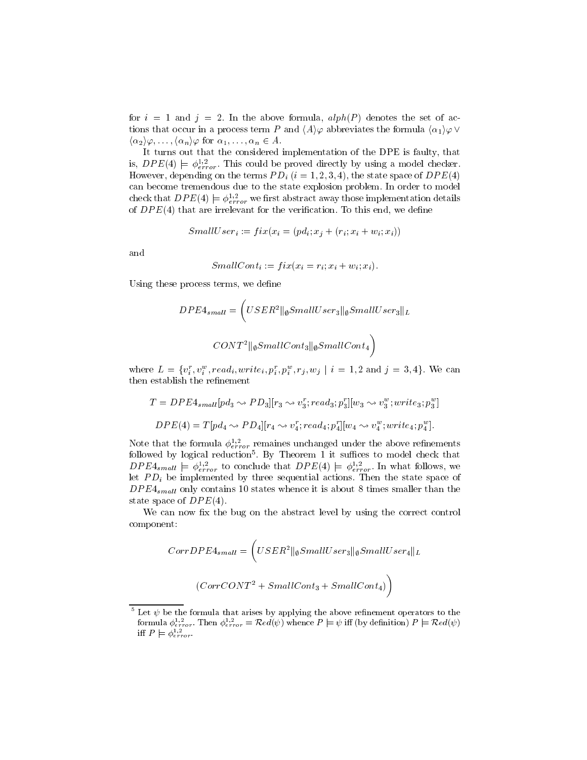for  $i = 1$  and  $j = 2$ . In the above formula,  $alpha(P)$  denotes the set of actions that occur in a process term P and  $\langle A \rangle \varphi$  abbreviates the formula  $\langle \alpha_1 \rangle \varphi \vee \varphi$  $\langle \alpha_2 \rangle \varphi, \ldots, \langle \alpha_n \rangle \varphi$  for  $\alpha_1, \ldots, \alpha_n \in A$ .

It turns out that the considered implementation of the DPE is faulty, that is,  $DFL(4) \models \varphi_{error}$ . This could be proved directly by using a model checker. However, depending on the terms  $PD_i$   $(i = 1, 2, 3, 4)$ , the state space of  $DPE(4)$ can become tremendous due to the state explosion problem. In order to model check that  $DPE(4) \models \phi_{error}^{-1}$  we first abstract away those implementation details of  $DPE(4)$  that are irrelevant for the verification. To this end, we define

$$
SmallUser_i := fix(x_i = (pd_i; x_i + (r_i; x_i + w_i; x_i))
$$

and

$$
SmallCont_i := fix(x_i = r_i; x_i + w_i; x_i).
$$

Using these process terms, we define

$$
DPE4_{small} = \left( USER^2 ||_{\emptyset} SmallUser_3 ||_{\emptyset} SmallUser_3 ||_{L} \right)
$$

$$
CONT^2 ||_{\emptyset} SmallCont_3 ||_{\emptyset} SmallCont_4 \right)
$$

where  $L = \{v_i, v_i\}$ , read;,  $wrie_i, p_i, p_i, r_j, w_j \mid i = 1, 2$  and  $j = 3, 4\}$ . We can then establish the refinement

$$
T = DPE4_{small}[pd_3 \leadsto PD_3][r_3 \leadsto v_3^r; read_3; p_3^r][w_3 \leadsto v_3^w; write_3; p_3^w]
$$
  

$$
DPE(4) = T[pd_4 \leadsto PD_4][r_4 \leadsto v_4^r; read_4; p_4^r][w_4 \leadsto v_4^w; write_4; p_4^w].
$$

Note that the formula  $\varphi_{error}^{-1}$  remaines unchanged under the above reimements  $\,$ lonowed by logical reduction $^{\circ}$ . By Theorem 1 it suffices to model check that  $\,$  $DFE4_{small} \models \varphi_{error}^{r}$  to conclude that  $DFE(4) \models \varphi_{error}^{r}$ . In what follows, we let  $PD_i$  be implemented by three sequential actions. Then the state space of  $DPE4_{small}$  only contains 10 states whence it is about 8 times smaller than the state space of  $DPE(4)$ .

We can now fix the bug on the abstract level by using the correct control component:

$$
CorrDPE4_{small} = \left( USER^2 \|\mathbf{gSmallUser}_3\| \mathbf{gSmallUser}_4\|_L\right)
$$

$$
(CorrCONT^2 + SmallCont_3 + SmallCont_4)
$$

<sup>-</sup>Let  $\psi$  be the formula that arises by applying the above remnement operators to the formula  $\varphi_{error}$ . Then  $\varphi_{error} = \mathcal{K}ea(\psi)$  whence  $P \models \psi$  iff (by definition)  $P \models \mathcal{K}ea(\psi)$  $\text{inf } P \models \varphi_{error}.$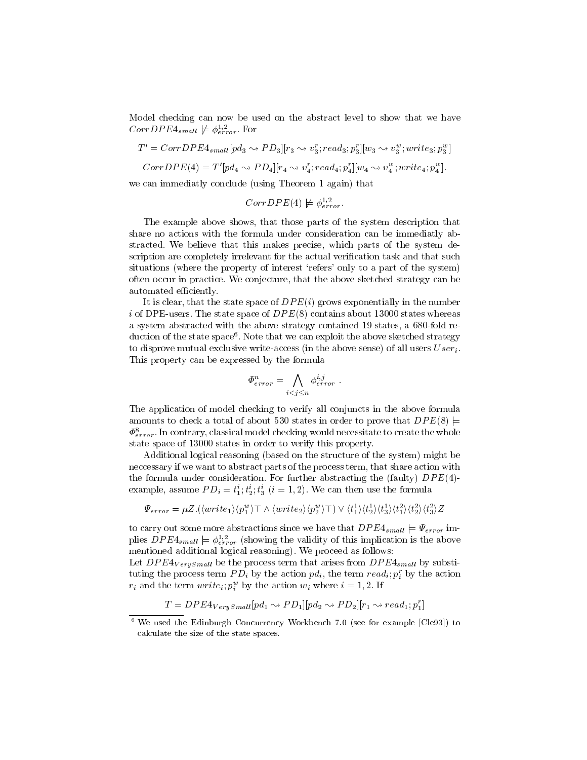Model checking can now be used on the abstract level to show that we have Corr $D$ P E<sup>4</sup>small  $\not\vDash \varphi_{error}^{-1}$ . For

$$
T' = CorrDPE4_{small}[pd_3 \leadsto PD_3][r_3 \leadsto v_3^r; read_3; p_3^r][w_3 \leadsto v_3^w; write_3; p_3^w]
$$
  
CorrDPE(4) = T'[pd\_4 \leadsto PD\_4][r\_4 \leadsto v\_4^r; read\_4; p\_4^r][w\_4 \leadsto v\_4^w; write\_4; p\_4^w].  
we can immediately conclude (using Theorem 1 again) that

w

$$
CorrDPE(4) \not\models \phi_{error}^{1,2}.
$$

The example above shows, that those parts of the system description that share no actions with the formula under consideration can be immediatly abstracted. We believe that this makes precise, which parts of the system description are completely irrelevant for the actual verification task and that such situations (where the property of interest 'refers' only to a part of the system) often occur in practice. We conjecture, that the above sketched strategy can be automated efficiently.

It is clear, that the state space of  $DPE(i)$  grows exponentially in the number i of DPE-users. The state space of  $DPE(8)$  contains about 13000 states whereas a system abstracted with the above strategy contained 19 states, a 680-fold reduction of the state spacef. Note that we can exploit the above sketched strategy to disprove mutual exclusive write-access (in the above sense) of all users  $User_i$ . This property can be expressed by the formula

$$
\Phi^n_{error} = \bigwedge_{i < j \leq n} \phi^{i,j}_{error} \; .
$$

The application of model checking to verify all conjuncts in the above formula amounts to check a total of about 530 states in order to prove that  $DPE(8)$   $\models$  $\Psi_{error}^{\rm{}}$  . In contrary, classical model checking would necessitate to create the whole state space of 13000 states in order to verify this property.

Additional logical reasoning (based on the structure of the system) might be neccessary if we want to abstract parts of the process term, that share action with the formula under consideration. For further abstracting the (faulty)  $DPE(4)$ example, assume  $P D_i \equiv t_1^2$ ;  $t_2^2$ ;  $t_3^3$  ( $i \equiv 1, 2$ ). We can then use the formula

$$
\Psi_{error} = \mu Z.(\langle write_1\rangle\langle p_1^w\rangle \top \wedge \langle write_2\rangle\langle p_2^w\rangle \top) \vee \langle t_1^1\rangle\langle t_2^1\rangle\langle t_3^1\rangle\langle t_1^2\rangle\langle t_3^2\rangle\langle t_3^2\rangle Z
$$

 $\Psi_{error} = \mu Z.(\langle write_1 \rangle \langle p_1^2 \rangle + \wedge \langle write_2 \rangle \langle p_2^2 \rangle + \wedge \langle t_1 \rangle \langle t_2 \rangle \langle t_3 \rangle \langle t_1 \rangle \langle t_2 \rangle \langle t_3 \rangle Z$ <br>to carry out some more abstractions since we have that  $DPE_{small} = \Psi_{error}$  imphes  $D'F E4_{small} \models \varphi_{error}$  (showing the validity of this implication is the above mentioned additional logical reasoning). We proceed as follows:

Let  $DPE4_{VerySmall}$  be the process term that arises from  $DPE4_{small}$  by substituting the process term  $PD_i$  by the action  $pa_i$ , the term  $rea_i; p_i$  by the action  $r_i$  and the term  $write_i; p_i$  by the action  $w_i$  where  $i = 1, 2$ . If

$$
T = DPE4_{VerySmall}[pd_1 \rightarrow PD_1][pd_2 \rightarrow PD_2][r_1 \rightarrow read_1; p_1^r]
$$

<sup>6</sup> We used the Edinburgh Concurrency Workbench 7.0 (see for example [Cle93]) to calculate the size of the state spaces.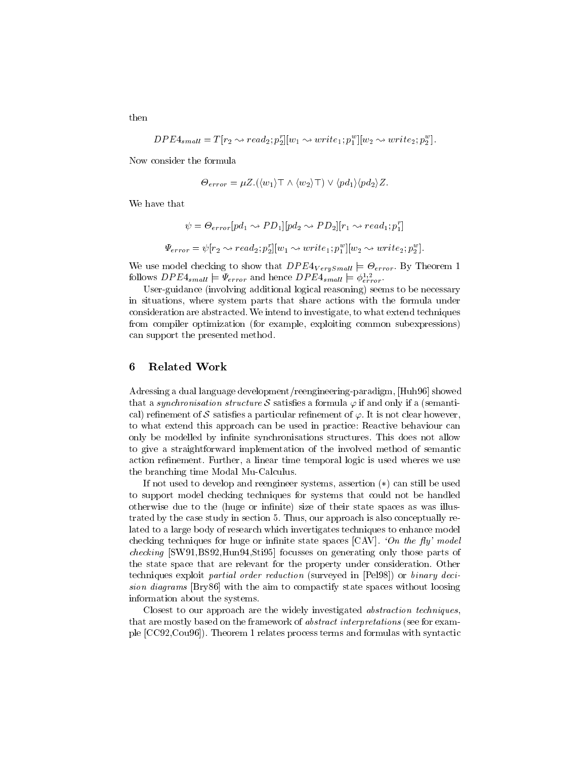$$
DPE4_{small} = T[r_2 \leadsto read_2; p_2^r][w_1 \leadsto write_1; p_1^w][w_2 \leadsto write_2; p_2^w].
$$

Now consider the formula

$$
\Theta_{error} = \mu Z.(\langle w_1 \rangle \top \wedge \langle w_2 \rangle \top) \vee \langle pd_1 \rangle \langle pd_2 \rangle Z.
$$

We have that

$$
\psi = \Theta_{error}[pd_1 \leadsto PD_1][pd_2 \leadsto PD_2][r_1 \leadsto read_1; p_1^r]
$$
  

$$
\Psi_{error} = \psi[r_2 \leadsto read_2; p_2^r][w_1 \leadsto write_1; p_1^w][w_2 \leadsto write_2; p_2^w].
$$

we use model checking to show that  $\alpha$  is the show that DPE4V erySmall is  $\alpha$ follows DP  $E4_{small} \equiv \Psi_{error}$  and hence DP  $E4_{small} \equiv \phi_{error}$ .

User-guidance (involving additional logical reasoning) seems to be necessary in situations, where system parts that share actions with the formula under consideration are abstracted. We intend to investigate, to what extend techniques from compiler optimization (for example, exploiting common subexpressions) can support the presented method.

### 6 Related Work

Adressing a dual language development/reengineering-paradigm, [Huh96] showed that a synchronisation structure  $\mathcal S$  satisfies a formula  $\varphi$  if and only if a (semantical) refinement of  ${\cal S}$  satisfies a particular refinement of  $\varphi.$  It is not clear however, to what extend this approach can be used in practice: Reactive behaviour can only be modelled by infinite synchronisations structures. This does not allow to give a straightforward implementation of the involved method of semantic action refinement. Further, a linear time temporal logic is used where we use the branching time Modal Mu-Calculus.

If not used to develop and reengineer systems, assertion  $(*)$  can still be used to support model checking techniques for systems that could not be handled otherwise due to the (huge or infinite) size of their state spaces as was illustrated by the case study in section 5. Thus, our approach is also conceptually related to a large body of research which invertigates techniques to enhance model checking techniques for huge or infinite state spaces  $\left[ \text{CAV} \right]$ . 'On the fly' model checking  $\beta$  is the set of the checking of the stigs of generating only those parts of the control to the control to the control to the control to the control to the control to the control to the control to the control to the state space that are relevant for the property under consideration. Other techniques exploit partial order reduction (surveyed in [Pel98]) or binary deci $s$ ion diagrams  $|{\bf D}$ ry $\circ$ o $|$  with the alm to compactify state spaces without loosing information about the systems.

Closest to our approach are the widely investigated *abstraction techniques*, that are mostly based on the framework of *abstract interpretations* (see for example [CC92,Cou96]). Theorem 1 relates process terms and formulas with syntactic

then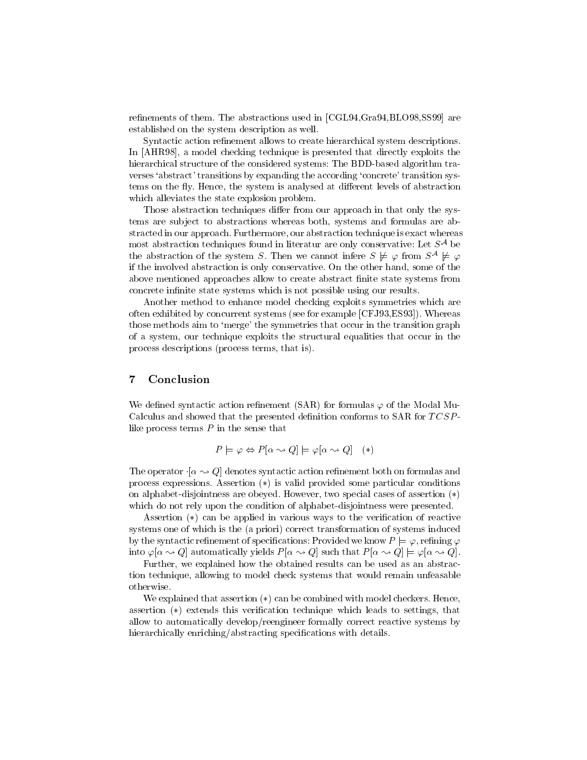refinements of them. The abstractions used in [CGL94,Gra94,BLO98,SS99] are established on the system description as well.

Syntactic action refinement allows to create hierarchical system descriptions. In [AHR98], a model checking technique is presented that directly exploits the hierarchical structure of the considered systems: The BDD-based algorithm tra verses 'abstract' transitions by expanding the according 'concrete' transition systems on the fly. Hence, the system is analysed at different levels of abstraction which alleviates the state explosion problem.

Those abstraction techniques differ from our approach in that only the systems are subject to abstractions whereas both, systems and formulas are abstracted in our approach. Furthermore, our abstraction technique is exact whereas  $\max$  abstraction techniques found in interatur are only conservative: Let  $S^{**}$  be the abstraction of the system S. Then we cannot infere  $S \not \models \varphi$  from  $S^{\ast\ast} \not \models \varphi$ if the involved abstraction is only conservative. On the other hand, some of the above mentioned approaches allow to create abstract finite state systems from concrete infinite state systems which is not possible using our results.

Another method to enhance model checking exploits symmetries which are often exhibited by concurrent systems (see for example [CFJ93,ES93]). Whereas those methods aim to `merge' the symmetries that occur in the transition graph of a system, our technique exploits the structural equalities that occur in the process descriptions (process terms, that is).

# 7 Conclusion

We defined syntactic action refinement  $(SAR)$  for formulas  $\varphi$  of the Modal Mu-Calculus and showed that the presented definition conforms to SAR for  $TCSP$ like process terms  $P$  in the sense that

$$
P \models \varphi \Leftrightarrow P[\alpha \leadsto Q] \models \varphi[\alpha \leadsto Q] \quad (*)
$$

The operator  $\cdot [\alpha \rightarrow Q]$  denotes syntactic action refinement both on formulas and process expressions. Assertion  $(*)$  is valid provided some particular conditions on alphabet-disjointness are obeyed. However, two special cases of assertion  $(*)$ which do not rely upon the condition of alphabet-disjointness were presented.

Assertion  $(*)$  can be applied in various ways to the verification of reactive systems one of which is the (a priori) correct transformation of systems induced by the syntactic refinement of specifications: Provided we know  $P \models \varphi$ , refining  $\varphi$ into  $\varphi[\alpha \leadsto Q]$  automatically yields  $P[\alpha \leadsto Q]$  such that  $P[\alpha \leadsto Q] \models \varphi[\alpha \leadsto Q]$ .

Further, we explained how the obtained results can be used as an abstraction technique, allowing to model check systems that would remain unfeasable otherwise.

We explained that assertion  $(*)$  can be combined with model checkers. Hence, assertion  $(*)$  extends this verification technique which leads to settings, that allow to automatically develop/reengineer formally correct reactive systems by hierarchically enriching/abstracting specifications with details.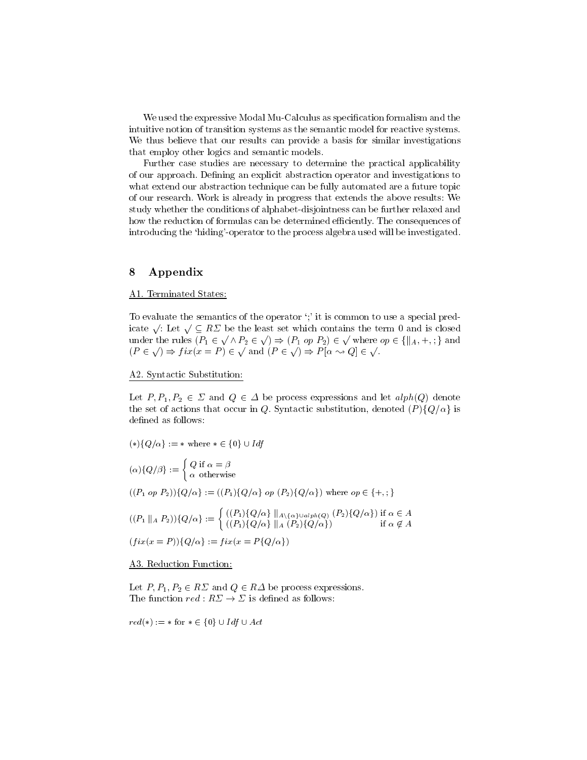We used the expressive Modal Mu-Calculus as specification formalism and the intuitive notion of transition systems as the semantic model for reactive systems. We thus believe that our results can provide a basis for similar investigations that employ other logics and semantic models.

Further case studies are necessary to determine the practical applicability of our approach. Defining an explicit abstraction operator and investigations to what extend our abstraction technique can be fully automated are a future topic of our research. Work is already in progress that extends the above results: We study whether the conditions of alphabet-disjointness can be further relaxed and how the reduction of formulas can be determined efficiently. The consequences of introducing the 'hiding'-operator to the process algebra used will be investigated.

# 8 Appendix

#### A1. Terminated States:

To evaluate the semantics of the operator  $\cdot$ ; it is common to use a special predicate  $\sqrt{\phantom{a}}$ : Let  $\sqrt{\phantom{a}} \subseteq R \Sigma$  be the least set which contains the term 0 and is closed under the rules  $(P_1 \in \sqrt{\wedge P_2 \in \sqrt{}}) \Rightarrow (P_1 \text{ op } P_2) \in \sqrt{}$  where  $op \in \{$  $(P \in \sqrt{\ }) \Rightarrow fix(x = P) \in \sqrt{\ }$  and  $(P \in \sqrt{\ }) \Rightarrow P[\alpha \leadsto Q] \in \sqrt{\ }$ .

### A2. Syntactic Substitution:

Let  $P$ ; P2 2  $P$  2  $P$  and  $P$  2  $P$  and  $P$  and  $P$  and  $P$  and  $P$  and  $P$  and  $P$  and let  $P$  and  $P$  and  $P$  and  $P$  and  $P$  and  $P$  and  $P$  and  $P$  and  $P$  and  $P$  and  $P$  and  $P$  and  $P$  and  $P$  and  $P$  and  $P$  and the set of actions that occur in Q. Syntactic substitution, denoted  $(P){Q/\alpha}$  is defined as follows:

$$
(*)\{Q/\alpha\} := * \text{ where } * \in \{0\} \cup Idf
$$

$$
\int Q \text{ if } \alpha = \beta
$$

$$
(\alpha)\{Q/\beta\} := \begin{cases} Q \text{ if } \alpha = \beta \\ \alpha \text{ otherwise} \end{cases}
$$
  

$$
((P_1 \text{ op } P_2))\{Q/\alpha\} := ((P_1)\{Q/\alpha\} \text{ op } (P_2)\{Q/\alpha\}) \text{ where } op \in \{+,:\}
$$
  

$$
((P_1 \parallel_A P_2))\{Q/\alpha\} := \begin{cases} ((P_1)\{Q/\alpha\} \parallel_A \setminus {\alpha \cup a1}^{ph}(Q) (P_2)\{Q/\alpha\}) & \text{if } \alpha \in A \\ ((P_1)\{Q/\alpha\} \parallel_A (P_2)\{Q/\alpha\}) & \text{if } \alpha \notin A \end{cases}
$$
  

$$
(fix(x = P))\{Q/\alpha\} := fix(x = P\{Q/\alpha\})
$$

#### A3. Reduction Function:

Let  $P$  and  $P$  and  $P$   $\in$   $P$   $\in$   $P$   $\in$   $P$  be process expressions. In the process expressions.

 $\overline{c}$  is  $\overline{c}$  and  $\overline{c}$   $\overline{c}$   $\overline{c}$   $\overline{c}$   $\overline{c}$   $\overline{c}$   $\overline{c}$   $\overline{c}$   $\overline{c}$   $\overline{c}$   $\overline{c}$   $\overline{c}$   $\overline{c}$   $\overline{c}$   $\overline{c}$   $\overline{c}$   $\overline{c}$   $\overline{c}$   $\overline{c}$   $\overline{c}$   $\overline{c}$   $\overline{c}$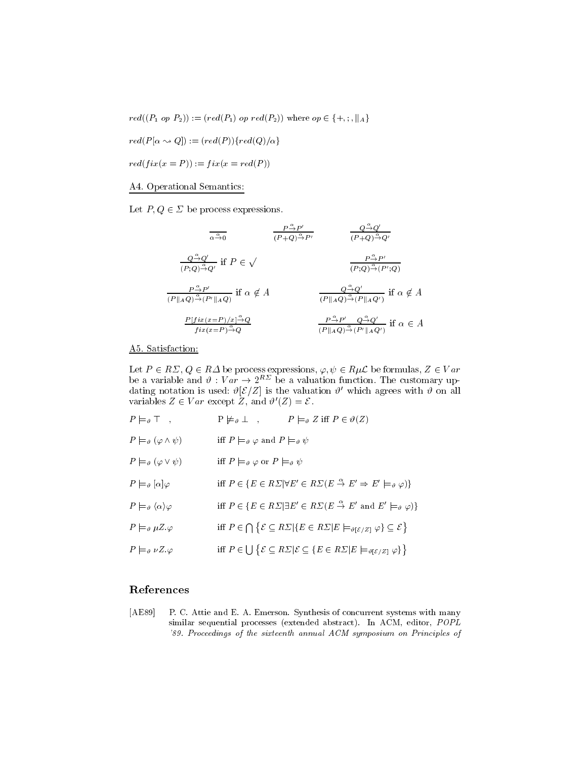$\begin{split} \mathit{red}(P[\alpha \leadsto Q]):= (\mathit{red}(P))\{\mathit{red}(Q)/\alpha\} \end{split}$ 

 $red(fix(x = P)) := fix(x = red(P))$ 

# A4. Operational Semantics:

 $\mathbf{P}$  and  $\mathbf{P}$  ,  $\mathbf{P}$  are process expressions. The process expressions of  $\mathbf{P}$ 

$$
\frac{Q^{\frac{\alpha}{\alpha}}Q'}{(P+Q)^{\frac{\alpha}{\alpha}}P'} \qquad \frac{Q^{\frac{\alpha}{\alpha}}Q'}{(P+Q)^{\frac{\alpha}{\alpha}}Q'}
$$
\n
$$
\frac{Q^{\frac{\alpha}{\alpha}}Q'}{(P;Q)^{\frac{\alpha}{\alpha}}Q'} \text{ if } P \in \sqrt{\frac{P^{\frac{\alpha}{\alpha}}P'}{(P;Q)^{\frac{\alpha}{\alpha}}(P';Q)}}
$$
\n
$$
\frac{P^{\frac{\alpha}{\alpha}}P'}{(P||_AQ)^{\frac{\alpha}{\alpha}}(P'||_AQ)} \text{ if } \alpha \notin A \qquad \frac{Q^{\frac{\alpha}{\alpha}}Q'}{(P||_AQ)^{\frac{\alpha}{\alpha}}(P||_AQ')} \text{ if } \alpha \notin A
$$
\n
$$
\frac{P[fix(x=P)/x]^{\frac{\alpha}{\alpha}}Q}{fix(x=P)^{\frac{\alpha}{\alpha}}Q} \qquad \frac{P^{\frac{\alpha}{\alpha}}P'}{(P||_AQ)^{\frac{\alpha}{\alpha}}(P'||_AQ')} \text{ if } \alpha \in A
$$

# A5. Satisfaction:

Let  $P \in R \mathcal{Z}, Q \in R \mathcal{Z}$  be process expressions,  $\varphi, \psi \in R \mu \mathcal{L}$  be formulas,  $Z \in V$  ar be a variable and  $v : v \r{a}r \rightarrow z^{++}$  be a valuation function. The customary updating notation is used:  $v[\mathcal{E}/\mathcal{Z}]$  is the valuation  $v$  which agrees with  $v$  on all variables  $Z \in Var$  except Z, and  $\theta(Z) = \mathcal{E}$ .

| $P \models_{\vartheta} \top$ ,                         | $P \not\models \vartheta \perp , \qquad P \models \vartheta Z \text{ iff } P \in \vartheta(Z)$                                                                      |
|--------------------------------------------------------|---------------------------------------------------------------------------------------------------------------------------------------------------------------------|
| $P \models_{\vartheta} (\varphi \wedge \psi)$          | iff $P \models_{\vartheta} \varphi$ and $P \models_{\vartheta} \psi$                                                                                                |
| $P \models_{\vartheta} (\varphi \vee \psi)$            | iff $P \models_{\vartheta} \varphi$ or $P \models_{\vartheta} \psi$                                                                                                 |
| $P \models_{\vartheta} [\alpha] \varphi$               | iff $P \in \{E \in R\Sigma   \forall E' \in R\Sigma(E \stackrel{\alpha}{\to} E' \Rightarrow E' \models_{\vartheta} \varphi)\}\$                                     |
| $P \models_{\vartheta} \langle \alpha \rangle \varphi$ | iff $P \in \{E \in R\mathbb{Z}   \exists E' \in R\mathbb{Z} (E \stackrel{\alpha}{\to} E' \text{ and } E' \models_{\vartheta} \varphi)\}\$                           |
| $P \models_{\vartheta} \mu Z \varphi$                  | iff $P \in \bigcap \{ \mathcal{E} \subseteq R\mathcal{L}   \{E \in R\mathcal{L}   E \models_{\vartheta[\mathcal{E}/\mathcal{Z}]}\varphi\} \subseteq \mathcal{E} \}$ |
| $P \models_{\vartheta} \nu Z \varphi$                  | iff $P \in \bigcup \{ \mathcal{E} \subseteq R\Sigma   \mathcal{E} \subseteq \{ E \in R\Sigma   E \models_{\vartheta[\mathcal{E}/Z]} \varphi \} \}$                  |
|                                                        |                                                                                                                                                                     |

# References

[AE89] P. C. Attie and E. A. Emerson. Synthesis of concurrent systems with many similar sequential processes (extended abstract). In ACM, editor, POPL '89. Proceedings of the sixteenth annual ACM symposium on Principles of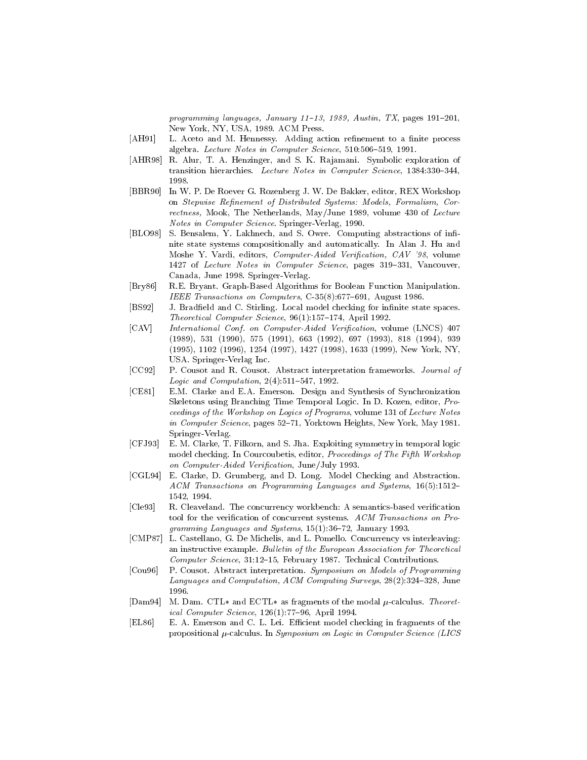programming languages, January 11-13, 1989, Austin, TX, pages 191-201, New York, NY, USA, 1989. ACM Press.

- [AH91] L. Aceto and M. Hennessy. Adding action refinement to a finite process algebra. Lecture Notes in Computer Science,  $510:506-519$ , 1991.
- [AHR98] R. Alur, T. A. Henzinger, and S. K. Ra jamani. Symbolic exploration of transition hierarchies. Lecture Notes in Computer Science, 1384:330-344, 1998
- [BBR90] In W. P. De Roever G. Rozenberg J. W. De Bakker, editor, REX Workshop on Stepwise Refinement of Distributed Systems: Models, Formalism, Correctness, Mook, The Netherlands, May/June 1989, volume 430 of Lecture Notes in Computer Science. Springer-Verlag, 1990.
- [BLO98] S. Bensalem, Y. Lakhnech, and S. Owre. Computing abstractions of infinite state systems compositionally and automatically. In Alan J. Hu and Moshe Y. Vardi, editors, *Computer-Aided Verification, CAV '98*, volume 1427 of Lecture Notes in Computer Science, pages 319-331, Vancouver, Canada, June 1998. Springer-Verlag.
- [Bry86] R.E. Bryant. Graph-Based Algorithms for Boolean Function Manipulation. IEEE Transactions on Computers,  $C-35(8):677-691$ , August 1986.
- [BS92] J. Bradfield and C. Stirling. Local model checking for infinite state spaces. Theoretical Computer Science,  $96(1):157{-}174$ , April 1992.
- [CAV] International Conf. on Computer-Aided Verification, volume (LNCS) 407 (1989), 531 (1990), 575 (1991), 663 (1992), 697 (1993), 818 (1994), 939 (1995), 1102 (1996), 1254 (1997), 1427 (1998), 1633 (1999), New York, NY, USA. Springer-Verlag Inc.
- [CC92] P. Cousot and R. Cousot. Abstract interpretation frameworks. Journal of *Logic and Computation*,  $2(4):511-547$ , 1992.
- [CE81] E.M. Clarke and E.A. Emerson. Design and Synthesis of Synchronization Skeletons using Branching Time Temporal Logic. In D. Kozen, editor, Pro ceedings of the Workshop on Logics of Programs, volume 131 of Lecture Notes in Computer Science, pages 52-71, Yorktown Heights, New York, May 1981. Springer-Verlag.
- [CFJ93] E. M. Clarke, T. Filkorn, and S. Jha. Exploiting symmetry in temporal logic model checking. In Courcoubetis, editor, Proceedings of The Fifth Workshop on Computer-Aided Verification, June/July 1993.
- [CGL94] E. Clarke, D. Grumberg, and D. Long. Model Checking and Abstraction. ACM Transactions on Programming Languages and Systems, 16(5):1512-1542, 1994.
- [Cle93] R. Cleaveland. The concurrency workbench: A semantics-based verication tool for the verification of concurrent systems. ACM Transactions on Programming Languages and Systems,  $15(1):36-72$ , January 1993.
- [CMP87] L. Castellano, G. De Michelis, and L. Pomello. Concurrency vs interleaving: an instructive example. Bulletin of the European Association for Theoretical Computer Science, 31:12-15, February 1987. Technical Contributions.
- [Cou96] P. Cousot. Abstract interpretation. Symposium on Models of Programming Languages and Computation, ACM Computing Surveys,  $28(2):324-328$ , June 1996.
- [Dam94] M. Dam. CTL and ECTL as fragments of the modal  $\mu$ -calculus. Theoretical Computer Science,  $126(1)$ :77-96, April 1994.
- [EL86] E. A. Emerson and C. L. Lei. Efficient model checking in fragments of the propositional  $\mu$ -calculus. In Symposium on Logic in Computer Science (LICS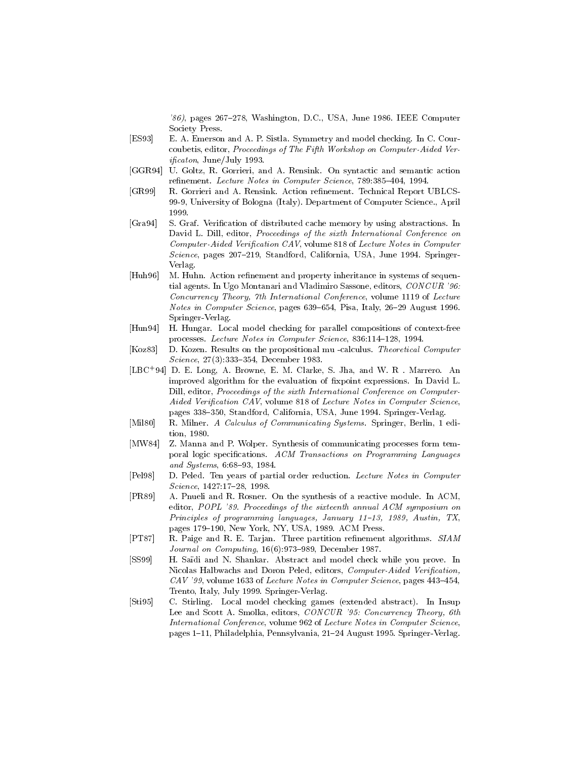$'86$ , pages  $267-278$ , Washington, D.C., USA, June 1986. IEEE Computer Society Press.

- [ES93] E. A. Emerson and A. P. Sistla. Symmetry and model checking. In C. Courcoubetis, editor, Proceedings of The Fifth Workshop on Computer-Aided Vericaton, June/July 1993.
- [GGR94] U. Goltz, R. Gorrieri, and A. Rensink. On syntactic and semantic action refinement. Lecture Notes in Computer Science, 789:385-404, 1994.
- [GR99] R. Gorrieri and A. Rensink. Action renement. Technical Report UBLCS-99-9, University of Bologna (Italy). Department of Computer Science., April 1999.
- [Gra94] S. Graf. Verication of distributed cache memory by using abstractions. In David L. Dill, editor, Proceedings of the sixth International Conference on Computer-Aided Verification CAV, volume 818 of Lecture Notes in Computer Science, pages  $207-219$ , Standford, California, USA, June 1994. Springer-Verlag.
- [Huh96] M. Huhn. Action refinement and property inheritance in systems of sequential agents. In Ugo Montanari and Vladimiro Sassone, editors, CONCUR '96: Concurrency Theory, 7th International Conference, volume 1119 of Lecture Notes in Computer Science, pages  $639-654$ , Pisa, Italy, 26-29 August 1996. Springer-Verlag.
- [Hun94] H. Hungar. Local model checking for parallel compositions of context-free processes. Lecture Notes in Computer Science, 836:114-128, 1994.
- [Koz83] D. Kozen. Results on the propositional mu -calculus. Theoretical Computer Science, 27(3):333-354, December 1983.
- [LBC+ 94] D. E. Long, A. Browne, E. M. Clarke, S. Jha, and W. R . Marrero. An improved algorithm for the evaluation of fixpoint expressions. In David L. Dill, editor, Proceedings of the sixth International Conference on Computer-Aided Verification CAV, volume 818 of Lecture Notes in Computer Science, pages 338-350, Standford, California, USA, June 1994. Springer-Verlag.
- [Mil80] R. Milner. A Calculus of Communicating Systems. Springer, Berlin, 1 edition, 1980.
- [MW84] Z. Manna and P. Wolper. Synthesis of communicating processes form temporal logic specifications. ACM Transactions on Programming Languages and Systems,  $6:68-93, 1984.$
- [Pel98] D. Peled. Ten years of partial order reduction. Lecture Notes in Computer Science, 1427:17-28, 1998.
- [PR89] A. Pnueli and R. Rosner. On the synthesis of a reactive module. In ACM, editor, POPL '89. Proceedings of the sixteenth annual ACM symposium on Principles of programming languages, January 11-13, 1989, Austin, TX, pages 179-190, New York, NY, USA, 1989. ACM Press.
- [PT87] R. Paige and R. E. Tarjan. Three partition renement algorithms. SIAM Journal on Computing,  $16(6):973-989$ , December 1987.
- [SS99] H. Sadi and N. Shankar. Abstract and model check while you prove. In Nicolas Halbwachs and Doron Peled, editors, Computer-Aided Verification,  $CAV$  '99, volume 1633 of *Lecture Notes in Computer Science*, pages  $443-454$ , Trento, Italy, July 1999. Springer-Verlag.
- [Sti95] C. Stirling. Local model checking games (extended abstract). In Insup Lee and Scott A. Smolka, editors, CONCUR '95: Concurrency Theory, 6th International Conference, volume 962 of Lecture Notes in Computer Science, pages 1-11, Philadelphia, Pennsylvania, 21-24 August 1995. Springer-Verlag.